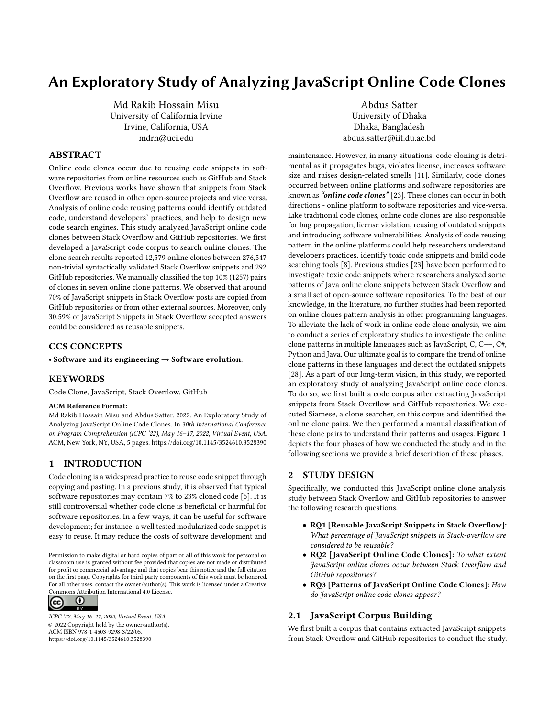# An Exploratory Study of Analyzing JavaScript Online Code Clones

Md Rakib Hossain Misu University of California Irvine Irvine, California, USA mdrh@uci.edu

## ABSTRACT

Online code clones occur due to reusing code snippets in software repositories from online resources such as GitHub and Stack Overflow. Previous works have shown that snippets from Stack Overflow are reused in other open-source projects and vice versa. Analysis of online code reusing patterns could identify outdated code, understand developers' practices, and help to design new code search engines. This study analyzed JavaScript online code clones between Stack Overflow and GitHub repositories. We first developed a JavaScript code corpus to search online clones. The clone search results reported 12,579 online clones between 276,547 non-trivial syntactically validated Stack Overflow snippets and 292 GitHub repositories. We manually classified the top 10% (1257) pairs of clones in seven online clone patterns. We observed that around 70% of JavaScript snippets in Stack Overflow posts are copied from GitHub repositories or from other external sources. Moreover, only 30.59% of JavaScript Snippets in Stack Overflow accepted answers could be considered as reusable snippets.

## CCS CONCEPTS

• Software and its engineering  $\rightarrow$  Software evolution.

#### KEYWORDS

Code Clone, JavaScript, Stack Overflow, GitHub

#### ACM Reference Format:

Md Rakib Hossain Misu and Abdus Satter. 2022. An Exploratory Study of Analyzing JavaScript Online Code Clones. In 30th International Conference on Program Comprehension (ICPC '22), May 16–17, 2022, Virtual Event, USA. ACM, New York, NY, USA, [5](#page-4-0) pages.<https://doi.org/10.1145/3524610.3528390>

## 1 INTRODUCTION

Code cloning is a widespread practice to reuse code snippet through copying and pasting. In a previous study, it is observed that typical software repositories may contain 7% to 23% cloned code [\[5\]](#page-4-1). It is still controversial whether code clone is beneficial or harmful for software repositories. In a few ways, it can be useful for software development; for instance; a well tested modularized code snippet is easy to reuse. It may reduce the costs of software development and

Permission to make digital or hard copies of part or all of this work for personal or classroom use is granted without fee provided that copies are not made or distributed for profit or commercial advantage and that copies bear this notice and the full citation on the first page. Copyrights for third-party components of this work must be honored. For all other uses, contact the owner/author(s). This work is licensed under a Creative Commons Attribution International 4.0 License.



ICPC '22, May 16–17, 2022, Virtual Event, USA © 2022 Copyright held by the owner/author(s). ACM ISBN 978-1-4503-9298-3/22/05. <https://doi.org/10.1145/3524610.3528390>

Abdus Satter University of Dhaka Dhaka, Bangladesh abdus.satter@iit.du.ac.bd

maintenance. However, in many situations, code cloning is detrimental as it propagates bugs, violates license, increases software size and raises design-related smells [\[11\]](#page-4-2). Similarly, code clones occurred between online platforms and software repositories are known as "online code clones" [\[23\]](#page-4-3). These clones can occur in both directions - online platform to software repositories and vice-versa. Like traditional code clones, online code clones are also responsible for bug propagation, license violation, reusing of outdated snippets and introducing software vulnerabilities. Analysis of code reusing pattern in the online platforms could help researchers understand developers practices, identify toxic code snippets and build code searching tools [\[8\]](#page-4-4). Previous studies [\[23\]](#page-4-3) have been performed to investigate toxic code snippets where researchers analyzed some patterns of Java online clone snippets between Stack Overflow and a small set of open-source software repositories. To the best of our knowledge, in the literature, no further studies had been reported on online clones pattern analysis in other programming languages. To alleviate the lack of work in online code clone analysis, we aim to conduct a series of exploratory studies to investigate the online clone patterns in multiple languages such as JavaScript, C, C++, C#, Python and Java. Our ultimate goal is to compare the trend of online clone patterns in these languages and detect the outdated snippets [\[28\]](#page-4-5). As a part of our long-term vision, in this study, we reported an exploratory study of analyzing JavaScript online code clones. To do so, we first built a code corpus after extracting JavaScript snippets from Stack Overflow and GitHub repositories. We executed Siamese, a clone searcher, on this corpus and identified the online clone pairs. We then performed a manual classification of these clone pairs to understand their patterns and usages. Figure [1](#page-1-0) depicts the four phases of how we conducted the study and in the following sections we provide a brief description of these phases.

#### 2 STUDY DESIGN

Specifically, we conducted this JavaScript online clone analysis study between Stack Overflow and GitHub repositories to answer the following research questions.

- RQ1 [Reusable JavaScript Snippets in Stack Overflow]: What percentage of JavaScript snippets in Stack-overflow are considered to be reusable?
- RQ2 [JavaScript Online Code Clones]: To what extent JavaScript online clones occur between Stack Overflow and GitHub repositories?
- RQ3 [Patterns of JavaScript Online Code Clones]: How do JavaScript online code clones appear?

## 2.1 JavaScript Corpus Building

We first built a corpus that contains extracted JavaScript snippets from Stack Overflow and GitHub repositories to conduct the study.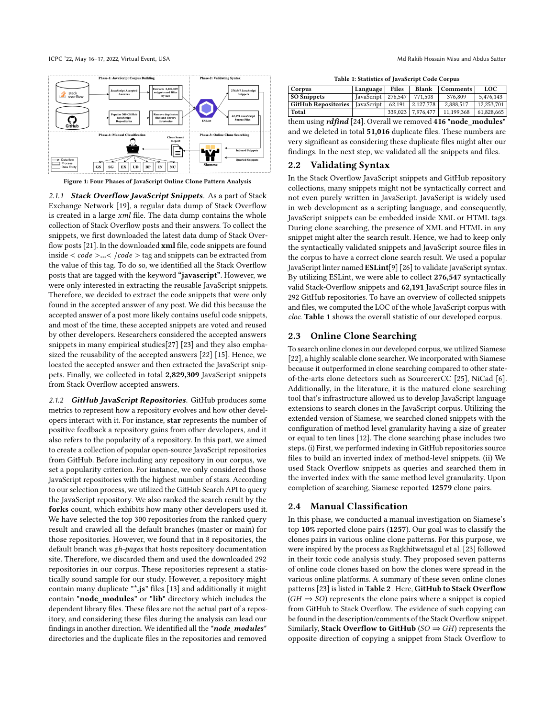<span id="page-1-0"></span>

Figure 1: Four Phases of JavaScript Online Clone Pattern Analysis

2.1.1 Stack Overflow JavaScript Snippets. As a part of Stack Exchange Network [\[19\]](#page-4-6), a regular data dump of Stack Overflow is created in a large  $xml$  file. The data dump contains the whole collection of Stack Overflow posts and their answers. To collect the snippets, we first downloaded the latest data dump of Stack Over-flow posts [\[21\]](#page-4-7). In the downloaded **xml** file, code snippets are found inside  $\langle code > ... \langle Code > tag \rangle$  and snippets can be extracted from the value of this tag. To do so, we identified all the Stack Overflow posts that are tagged with the keyword "javascript". However, we were only interested in extracting the reusable JavaScript snippets. Therefore, we decided to extract the code snippets that were only found in the accepted answer of any post. We did this because the accepted answer of a post more likely contains useful code snippets, and most of the time, these accepted snippets are voted and reused by other developers. Researchers considered the accepted answers snippets in many empirical studies[\[27\]](#page-4-8) [\[23\]](#page-4-3) and they also emphasized the reusability of the accepted answers [\[22\]](#page-4-9) [\[15\]](#page-4-10). Hence, we located the accepted answer and then extracted the JavaScript snippets. Finally, we collected in total 2,829,309 JavaScript snippets from Stack Overflow accepted answers.

2.1.2 GitHub JavaScript Repositories. GitHub produces some metrics to represent how a repository evolves and how other developers interact with it. For instance, star represents the number of positive feedback a repository gains from other developers, and it also refers to the popularity of a repository. In this part, we aimed to create a collection of popular open-source JavaScript repositories from GitHub. Before including any repository in our corpus, we set a popularity criterion. For instance, we only considered those JavaScript repositories with the highest number of stars. According to our selection process, we utilized the GitHub Search API to query the JavaScript repository. We also ranked the search result by the forks count, which exhibits how many other developers used it. We have selected the top 300 repositories from the ranked query result and crawled all the default branches (master or main) for those repositories. However, we found that in 8 repositories, the default branch was gh-pages that hosts repository documentation site. Therefore, we discarded them and used the downloaded 292 repositories in our corpus. These repositories represent a statistically sound sample for our study. However, a repository might contain many duplicate "\*.js" files [\[13\]](#page-4-11) and additionally it might contain "node\_modules" or "lib" directory which includes the dependent library files. These files are not the actual part of a repository, and considering these files during the analysis can lead our findings in another direction. We identified all the "node\_modules" directories and the duplicate files in the repositories and removed

Table 1: Statistics of JavaScript Code Corpus

<span id="page-1-1"></span>

| Corpus                     | Language               | Files  | Blank             | Comments   | LOC.       |
|----------------------------|------------------------|--------|-------------------|------------|------------|
| SO Snippets                | JavaScript   $276,547$ |        | 771.508           | 376,809    | 5.476.143  |
| <b>GitHub Repositories</b> | JavaScript             | 62.191 | 2,127,778         | 2.888.517  | 12.253.701 |
| Total                      |                        |        | 339,023 7,976,477 | 11,199,368 | 61,828,665 |
|                            |                        |        |                   |            |            |

them using  $rdfind$  [\[24\]](#page-4-12). Overall we removed 416 "node modules" and we deleted in total 51,016 duplicate files. These numbers are very significant as considering these duplicate files might alter our findings. In the next step, we validated all the snippets and files.

## 2.2 Validating Syntax

In the Stack Overflow JavaScript snippets and GitHub repository collections, many snippets might not be syntactically correct and not even purely written in JavaScript. JavaScript is widely used in web development as a scripting language, and consequently, JavaScript snippets can be embedded inside XML or HTML tags. During clone searching, the presence of XML and HTML in any snippet might alter the search result. Hence, we had to keep only the syntactically validated snippets and JavaScript source files in the corpus to have a correct clone search result. We used a popular JavaScript linter named ESLint[\[9\]](#page-4-13) [\[26\]](#page-4-14) to validate JavaScript syntax. By utilizing ESLint, we were able to collect 276,547 syntactically valid Stack-Overflow snippets and 62,191 JavaScript source files in 292 GitHub repositories. To have an overview of collected snippets and files, we computed the LOC of the whole JavaScript corpus with cloc. Table [1](#page-1-1) shows the overall statistic of our developed corpus.

#### 2.3 Online Clone Searching

To search online clones in our developed corpus, we utilized Siamese [\[22\]](#page-4-9), a highly scalable clone searcher. We incorporated with Siamese because it outperformed in clone searching compared to other stateof-the-arts clone detectors such as SourcererCC [\[25\]](#page-4-15), NiCad [\[6\]](#page-4-16). Additionally, in the literature, it is the matured clone searching tool that's infrastructure allowed us to develop JavaScript language extensions to search clones in the JavaScript corpus. Utilizing the extended version of Siamese, we searched cloned snippets with the configuration of method level granularity having a size of greater or equal to ten lines [\[12\]](#page-4-17). The clone searching phase includes two steps. (i) First, we performed indexing in GitHub repositories source files to build an inverted index of method-level snippets. (ii) We used Stack Overflow snippets as queries and searched them in the inverted index with the same method level granularity. Upon completion of searching, Siamese reported 12579 clone pairs.

#### 2.4 Manual Classification

In this phase, we conducted a manual investigation on Siamese's top 10% reported clone pairs (1257). Our goal was to classify the clones pairs in various online clone patterns. For this purpose, we were inspired by the process as Ragkhitwetsagul et al. [\[23\]](#page-4-3) followed in their toxic code analysis study. They proposed seven patterns of online code clones based on how the clones were spread in the various online platforms. A summary of these seven online clones patterns [\[23\]](#page-4-3) is listed in Table [2](#page-2-0) . Here, GitHub to Stack Overflow  $(GH \Rightarrow SO)$  represents the clone pairs where a snippet is copied from GitHub to Stack Overflow. The evidence of such copying can be found in the description/comments of the Stack Overflow snippet. Similarly, Stack Overflow to GitHub ( $SO \Rightarrow GH$ ) represents the opposite direction of copying a snippet from Stack Overflow to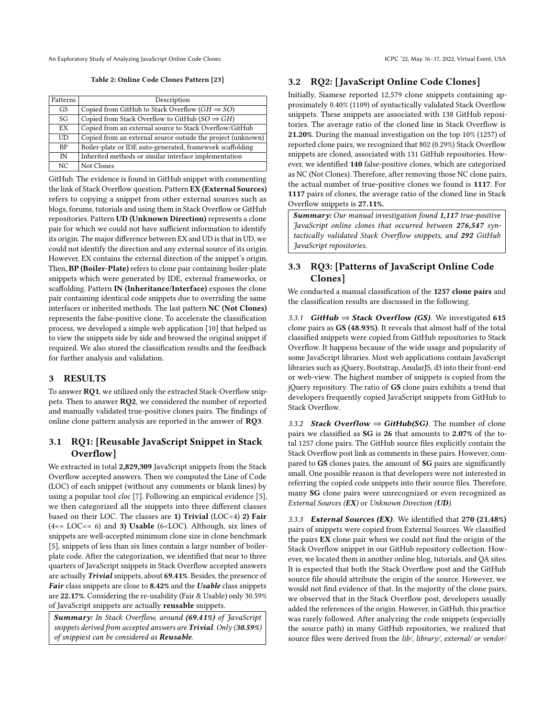<span id="page-2-0"></span>An Exploratory Study of Analyzing JavaScript Online Code Clones ICPC '22, May 16–17, 2022, Virtual Event, USA

Table 2: Online Code Clones Pattern [\[23\]](#page-4-3)

| Patterns  | Description                                                  |
|-----------|--------------------------------------------------------------|
| <b>GS</b> | Copied from GitHub to Stack Overflow ( $GH \Rightarrow SO$ ) |
| SG        | Copied from Stack Overflow to GitHub $(SO \Rightarrow GH)$   |
| EX        | Copied from an external source to Stack Overflow/GitHub      |
| UD        | Copied from an external source outside the project (unknown) |
| <b>BP</b> | Boiler-plate or IDE auto-generated, framework scaffolding    |
| IN        | Inherited methods or similar interface implementation        |
| NC        | Not Clones                                                   |

GitHub. The evidence is found in GitHub snippet with commenting the link of Stack Overflow question. Pattern EX (External Sources) refers to copying a snippet from other external sources such as blogs, forums, tutorials and using them in Stack Overflow or GitHub repositories. Pattern UD (Unknown Direction) represents a clone pair for which we could not have sufficient information to identify its origin. The major difference between EX and UD is that in UD, we could not identify the direction and any external source of its origin. However, EX contains the external direction of the snippet's origin. Then, BP (Boiler-Plate) refers to clone pair containing boiler-plate snippets which were generated by IDE, external frameworks, or scaffolding. Pattern IN (Inheritance/Interface) exposes the clone pair containing identical code snippets due to overriding the same interfaces or inherited methods. The last pattern NC (Not Clones) represents the false-positive clone. To accelerate the classification process, we developed a simple web application [\[10\]](#page-4-18) that helped us to view the snippets side by side and browsed the original snippet if required. We also stored the classification results and the feedback for further analysis and validation.

## 3 RESULTS

To answer RQ1, we utilized only the extracted Stack-Overflow snippets. Then to answer RQ2, we considered the number of reported and manually validated true-positive clones pairs. The findings of online clone pattern analysis are reported in the answer of RQ3.

## 3.1 RQ1: [Reusable JavaScript Snippet in Stack Overflow]

We extracted in total 2,829,309 JavaScript snippets from the Stack Overflow accepted answers. Then we computed the Line of Code (LOC) of each snippet (without any comments or blank lines) by using a popular tool cloc [\[7\]](#page-4-19). Following an empirical evidence [\[5\]](#page-4-1), we then categorized all the snippets into three different classes based on their LOC. The classes are 1) Trivial  $(LOC < 4)$  2) Fair  $(4 \leq LOC \leq 6)$  and 3) Usable (6<LOC). Although, six lines of snippets are well-accepted minimum clone size in clone benchmark [\[5\]](#page-4-1), snippets of less than six lines contain a large number of boilerplate code. After the categorization, we identified that near to three quarters of JavaScript snippets in Stack Overflow accepted answers are actually Trivial snippets, about 69.41%. Besides, the presence of Fair class snippets are close to 8.42% and the Usable class snippets are 22.17%. Considering the re-usability (Fair & Usable) only 30.59% of JavaScript snippets are actually reusable snippets.

Summary: In Stack Overflow, around (69.41%) of JavaScript snippets derived from accepted answers are Trivial. Only  $(30.59\%)$ of snippiest can be considered as Reusable.

## 3.2 RQ2: [JavaScript Online Code Clones]

Initially, Siamese reported 12,579 clone snippets containing approximately 0.40% (1109) of syntactically validated Stack Overflow snippets. These snippets are associated with 138 GitHub repositories. The average ratio of the cloned line in Stack Overflow is 21.20%. During the manual investigation on the top 10% (1257) of reported clone pairs, we recognized that 802 (0.29%) Stack Overflow snippets are cloned, associated with 131 GitHub repositories. However, we identified 140 false-positive clones, which are categorized as NC (Not Clones). Therefore, after removing those NC clone pairs, the actual number of true-positive clones we found is 1117. For 1117 pairs of clones, the average ratio of the cloned line in Stack Overflow snippets is 27.11%.

Summary: Our manual investigation found 1,117 true-positive JavaScript online clones that occurred between 276,547 syntactically validated Stack Overflow snippets, and 292 GitHub JavaScript repositories.

## 3.3 RQ3: [Patterns of JavaScript Online Code Clones]

We conducted a manual classification of the 1257 clone pairs and the classification results are discussed in the following.

3.3.1 GitHub  $\Rightarrow$  Stack Overflow (GS). We investigated 615 clone pairs as GS (48.93%). It reveals that almost half of the total classified snippets were copied from GitHub repositories to Stack Overflow. It happens because of the wide usage and popularity of some JavaScript libraries. Most web applications contain JavaScript libraries such as jQuery, Bootstrap, AnularJS, d3 into their front-end or web-view. The highest number of snippets is copied from the jQuery repository. The ratio of GS clone pairs exhibits a trend that developers frequently copied JavaScript snippets from GitHub to Stack Overflow.

3.3.2 Stack Overflow  $\Rightarrow$  GitHub(SG). The number of clone pairs we classified as SG is 26 that amounts to 2.07% of the total 1257 clone pairs. The GitHub source files explicitly contain the Stack Overflow post link as comments in these pairs. However, compared to GS clones pairs, the amount of SG pairs are significantly small. One possible reason is that developers were not interested in referring the copied code snippets into their source files. Therefore, many SG clone pairs were unrecognized or even recognized as External Sources (EX) or Unknown Direction (UD).

3.3.3 External Sources (EX). We identified that 270 (21.48%) pairs of snippets were copied from External Sources. We classified the pairs EX clone pair when we could not find the origin of the Stack Overflow snippet in our GitHub repository collection. However, we located them in another online blog, tutorials, and QA sites. It is expected that both the Stack Overflow post and the GitHub source file should attribute the origin of the source. However, we would not find evidence of that. In the majority of the clone pairs, we observed that in the Stack Overflow post, developers usually added the references of the origin. However, in GitHub, this practice was rarely followed. After analyzing the code snippets (especially the source path) in many GitHub repositories, we realized that source files were derived from the lib/, library/, external/ or vendor/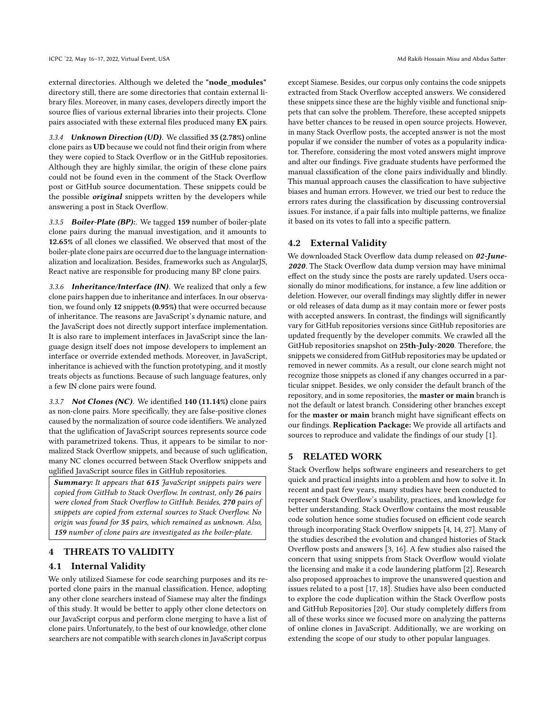external directories. Although we deleted the "node\_modules" directory still, there are some directories that contain external library files. Moreover, in many cases, developers directly import the source flies of various external libraries into their projects. Clone pairs associated with these external files produced many EX pairs.

3.3.4 Unknown Direction (UD). We classified 35 (2.78%) online clone pairs as UD because we could not find their origin from where they were copied to Stack Overflow or in the GitHub repositories. Although they are highly similar, the origin of these clone pairs could not be found even in the comment of the Stack Overflow post or GitHub source documentation. These snippets could be the possible *original* snippets written by the developers while answering a post in Stack Overflow.

3.3.5 Boiler-Plate (BP):. We tagged 159 number of boiler-plate clone pairs during the manual investigation, and it amounts to 12.65% of all clones we classified. We observed that most of the boiler-plate clone pairs are occurred due to the language internationalization and localization. Besides, frameworks such as AngularJS, React native are responsible for producing many BP clone pairs.

3.3.6 **Inheritance/Interface (IN)**. We realized that only a few clone pairs happen due to inheritance and interfaces. In our observation, we found only 12 snippets (0.95%) that were occurred because of inheritance. The reasons are JavaScript's dynamic nature, and the JavaScript does not directly support interface implementation. It is also rare to implement interfaces in JavaScript since the language design itself does not impose developers to implement an interface or override extended methods. Moreover, in JavaScript, inheritance is achieved with the function prototyping, and it mostly treats objects as functions. Because of such language features, only a few IN clone pairs were found.

3.3.7 Not Clones (NC). We identified 140 (11.14%) clone pairs as non-clone pairs. More specifically, they are false-positive clones caused by the normalization of source code identifiers. We analyzed that the uglification of JavaScript sources represents source code with parametrized tokens. Thus, it appears to be similar to normalized Stack Overflow snippets, and because of such uglification, many NC clones occurred between Stack Overflow snippets and uglified JavaScript source files in GitHub repositories.

Summary: It appears that 615 JavaScript snippets pairs were copied from GitHub to Stack Overflow. In contrast, only 26 pairs were cloned from Stack Overflow to GitHub. Besides, 270 pairs of snippets are copied from external sources to Stack Overflow. No origin was found for 35 pairs, which remained as unknown. Also, 159 number of clone pairs are investigated as the boiler-plate.

## 4 THREATS TO VALIDITY

## 4.1 Internal Validity

We only utilized Siamese for code searching purposes and its reported clone pairs in the manual classification. Hence, adopting any other clone searchers instead of Siamese may alter the findings of this study. It would be better to apply other clone detectors on our JavaScript corpus and perform clone merging to have a list of clone pairs. Unfortunately, to the best of our knowledge, other clone searchers are not compatible with search clones in JavaScript corpus

except Siamese. Besides, our corpus only contains the code snippets extracted from Stack Overflow accepted answers. We considered these snippets since these are the highly visible and functional snippets that can solve the problem. Therefore, these accepted snippets have better chances to be reused in open source projects. However, in many Stack Overflow posts, the accepted answer is not the most popular if we consider the number of votes as a popularity indicator. Therefore, considering the most voted answers might improve and alter our findings. Five graduate students have performed the manual classification of the clone pairs individually and blindly. This manual approach causes the classification to have subjective biases and human errors. However, we tried our best to reduce the errors rates during the classification by discussing controversial issues. For instance, if a pair falls into multiple patterns, we finalize it based on its votes to fall into a specific pattern.

## 4.2 External Validity

We downloaded Stack Overflow data dump released on 02-June-2020. The Stack Overflow data dump version may have minimal effect on the study since the posts are rarely updated. Users occasionally do minor modifications, for instance, a few line addition or deletion. However, our overall findings may slightly differ in newer or old releases of data dump as it may contain more or fewer posts with accepted answers. In contrast, the findings will significantly vary for GitHub repositories versions since GitHub repositories are updated frequently by the developer commits. We crawled all the GitHub repositories snapshot on 25th-July-2020. Therefore, the snippets we considered from GitHub repositories may be updated or removed in newer commits. As a result, our clone search might not recognize those snippets as cloned if any changes occurred in a particular snippet. Besides, we only consider the default branch of the repository, and in some repositories, the master or main branch is not the default or latest branch. Considering other branches except for the master or main branch might have significant effects on our findings. Replication Package: We provide all artifacts and sources to reproduce and validate the findings of our study [\[1\]](#page-4-20).

## 5 RELATED WORK

Stack Overflow helps software engineers and researchers to get quick and practical insights into a problem and how to solve it. In recent and past few years, many studies have been conducted to represent Stack Overflow's usability, practices, and knowledge for better understanding. Stack Overflow contains the most reusable code solution hence some studies focused on efficient code search through incorporating Stack Overflow snippets [\[4,](#page-4-21) [14,](#page-4-22) [27\]](#page-4-8). Many of the studies described the evolution and changed histories of Stack Overflow posts and answers [\[3,](#page-4-23) [16\]](#page-4-24). A few studies also raised the concern that using snippets from Stack Overflow would violate the licensing and make it a code laundering platform [\[2\]](#page-4-25). Research also proposed approaches to improve the unanswered question and issues related to a post [\[17,](#page-4-26) [18\]](#page-4-27). Studies have also been conducted to explore the code duplication within the Stack Overflow posts and GitHub Repositories [\[20\]](#page-4-28). Our study completely differs from all of these works since we focused more on analyzing the patterns of online clones in JavaScript. Additionally, we are working on extending the scope of our study to other popular languages.